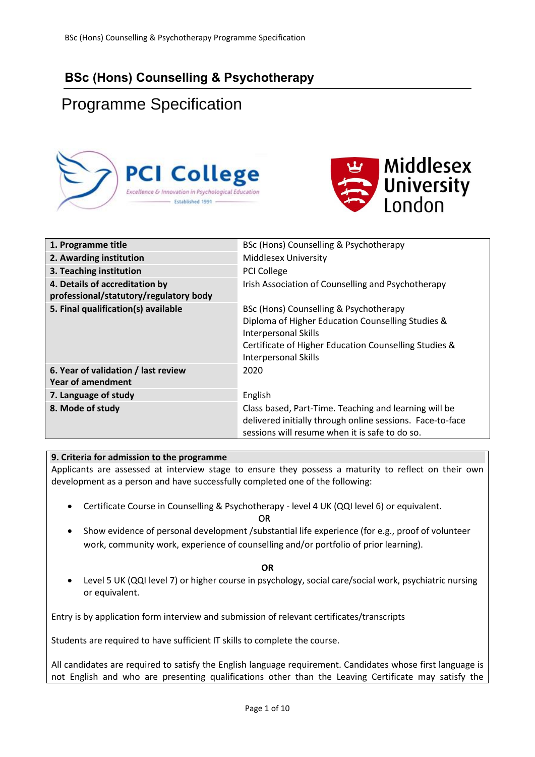## **BSc (Hons) Counselling & Psychotherapy**

# Programme Specification





| 1. Programme title                                                       | BSc (Hons) Counselling & Psychotherapy                                                                                                                                                                             |
|--------------------------------------------------------------------------|--------------------------------------------------------------------------------------------------------------------------------------------------------------------------------------------------------------------|
| 2. Awarding institution                                                  | <b>Middlesex University</b>                                                                                                                                                                                        |
| 3. Teaching institution                                                  | <b>PCI College</b>                                                                                                                                                                                                 |
| 4. Details of accreditation by<br>professional/statutory/regulatory body | Irish Association of Counselling and Psychotherapy                                                                                                                                                                 |
| 5. Final qualification(s) available                                      | BSc (Hons) Counselling & Psychotherapy<br>Diploma of Higher Education Counselling Studies &<br><b>Interpersonal Skills</b><br>Certificate of Higher Education Counselling Studies &<br><b>Interpersonal Skills</b> |
| 6. Year of validation / last review<br>Year of amendment                 | 2020                                                                                                                                                                                                               |
| 7. Language of study                                                     | English                                                                                                                                                                                                            |
| 8. Mode of study                                                         | Class based, Part-Time. Teaching and learning will be<br>delivered initially through online sessions. Face-to-face<br>sessions will resume when it is safe to do so.                                               |

## **9. Criteria for admission to the programme**

Applicants are assessed at interview stage to ensure they possess a maturity to reflect on their own development as a person and have successfully completed one of the following:

• [Certificate Course in Counselling & Psychotherapy](http://www.pcicollege.ie/counselling-courses/foundation-counselling-psychotherapy) - level 4 UK (QQI level 6) or equivalent.

**OR** Service Service Service Service Service Service Service Service Service Service Service Service Service Service Service Service Service Service Service Service Service Service Service Service Service Service Service S

• Show evidence of personal development /substantial life experience (for e.g., proof of volunteer work, community work, experience of counselling and/or portfolio of prior learning).

#### **OR**

• Level 5 UK (QQI level 7) or higher course in psychology, social care/social work, psychiatric nursing or equivalent.

Entry is by application form interview and submission of relevant certificates/transcripts

Students are required to have sufficient IT skills to complete the course.

All candidates are required to satisfy the English language requirement. Candidates whose first language is not English and who are presenting qualifications other than the Leaving Certificate may satisfy the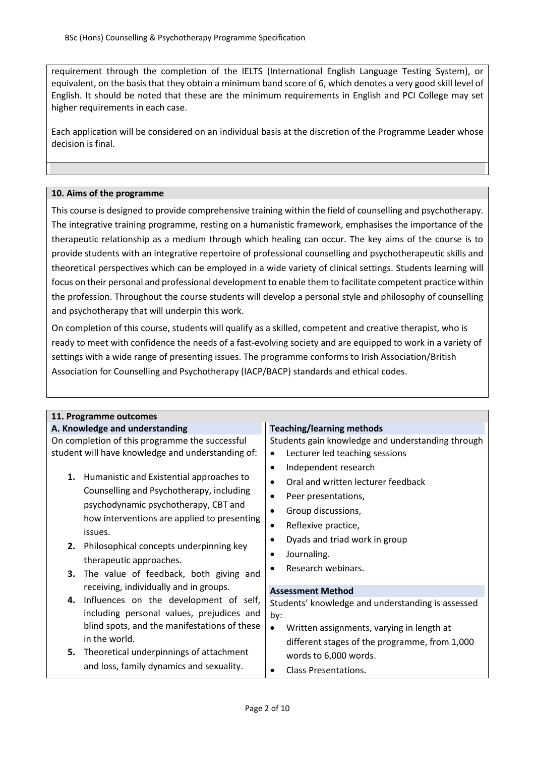requirement through the completion of the IELTS (International English Language Testing System), or equivalent, on the basis that they obtain a minimum band score of 6, which denotes a very good skill level of English. It should be noted that these are the minimum requirements in English and PCI College may set higher requirements in each case.

Each application will be considered on an individual basis at the discretion of the Programme Leader whose decision is final.

#### **10. Aims of the programme**

This course is designed to provide comprehensive training within the field of counselling and psychotherapy. The integrative training programme, resting on a humanistic framework, emphasises the importance of the therapeutic relationship as a medium through which healing can occur. The key aims of the course is to provide students with an integrative repertoire of professional counselling and psychotherapeutic skills and theoretical perspectives which can be employed in a wide variety of clinical settings. Students learning will focus on their personal and professional development to enable them to facilitate competent practice within the profession. Throughout the course students will develop a personal style and philosophy of counselling and psychotherapy that will underpin this work.

On completion of this course, students will qualify as a skilled, competent and creative therapist, who is ready to meet with confidence the needs of a fast-evolving society and are equipped to work in a variety of settings with a wide range of presenting issues. The programme conforms to Irish Association/British Association for Counselling and Psychotherapy (IACP/BACP) standards and ethical codes.

| 11. Programme outcomes                                                                                                                                                                                                                                                                                             |                                                                                                                                                                                                                                                 |  |  |  |  |  |  |  |  |
|--------------------------------------------------------------------------------------------------------------------------------------------------------------------------------------------------------------------------------------------------------------------------------------------------------------------|-------------------------------------------------------------------------------------------------------------------------------------------------------------------------------------------------------------------------------------------------|--|--|--|--|--|--|--|--|
| A. Knowledge and understanding                                                                                                                                                                                                                                                                                     | <b>Teaching/learning methods</b>                                                                                                                                                                                                                |  |  |  |  |  |  |  |  |
| On completion of this programme the successful<br>student will have knowledge and understanding of:                                                                                                                                                                                                                | Students gain knowledge and understanding through<br>Lecturer led teaching sessions<br>Independent research<br>$\bullet$                                                                                                                        |  |  |  |  |  |  |  |  |
| 1. Humanistic and Existential approaches to<br>Counselling and Psychotherapy, including<br>psychodynamic psychotherapy, CBT and<br>how interventions are applied to presenting<br>issues.<br>Philosophical concepts underpinning key<br>2.<br>therapeutic approaches.<br>3. The value of feedback, both giving and | Oral and written lecturer feedback<br>$\bullet$<br>Peer presentations,<br>$\bullet$<br>Group discussions,<br>$\bullet$<br>Reflexive practice,<br>٠<br>Dyads and triad work in group<br>$\bullet$<br>Journaling.<br>٠<br>Research webinars.<br>٠ |  |  |  |  |  |  |  |  |
| receiving, individually and in groups.<br>Influences on the development of self,<br>4.<br>including personal values, prejudices and<br>blind spots, and the manifestations of these<br>in the world.<br>5. Theoretical underpinnings of attachment                                                                 | <b>Assessment Method</b><br>Students' knowledge and understanding is assessed<br>by:<br>Written assignments, varying in length at<br>$\bullet$<br>different stages of the programme, from 1,000                                                 |  |  |  |  |  |  |  |  |
| and loss, family dynamics and sexuality.                                                                                                                                                                                                                                                                           | words to 6,000 words.<br>Class Presentations.<br>$\bullet$                                                                                                                                                                                      |  |  |  |  |  |  |  |  |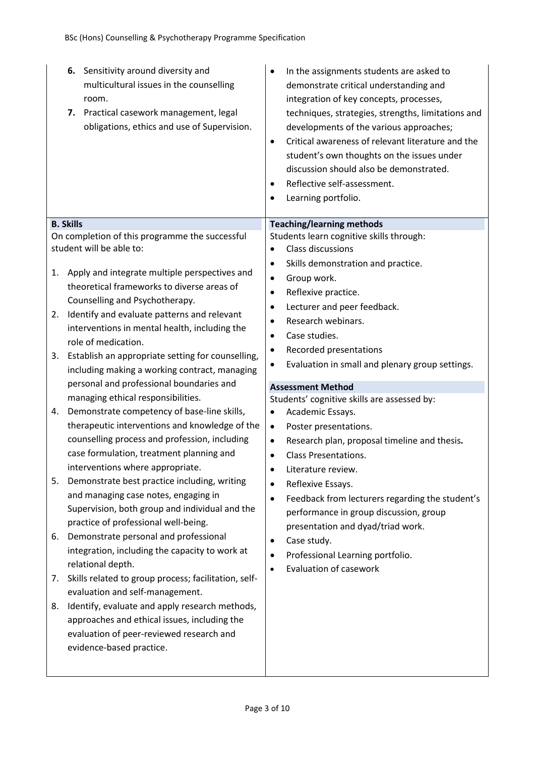| 6. Sensitivity around diversity and<br>multicultural issues in the counselling<br>room.<br>7. Practical casework management, legal<br>obligations, ethics and use of Supervision. | In the assignments students are asked to<br>٠<br>demonstrate critical understanding and<br>integration of key concepts, processes,<br>techniques, strategies, strengths, limitations and<br>developments of the various approaches;<br>Critical awareness of relevant literature and the<br>$\bullet$<br>student's own thoughts on the issues under<br>discussion should also be demonstrated.<br>Reflective self-assessment.<br>$\bullet$<br>Learning portfolio. |
|-----------------------------------------------------------------------------------------------------------------------------------------------------------------------------------|-------------------------------------------------------------------------------------------------------------------------------------------------------------------------------------------------------------------------------------------------------------------------------------------------------------------------------------------------------------------------------------------------------------------------------------------------------------------|
| <b>B. Skills</b>                                                                                                                                                                  | <b>Teaching/learning methods</b>                                                                                                                                                                                                                                                                                                                                                                                                                                  |
| On completion of this programme the successful                                                                                                                                    | Students learn cognitive skills through:                                                                                                                                                                                                                                                                                                                                                                                                                          |
| student will be able to:                                                                                                                                                          | Class discussions<br>٠                                                                                                                                                                                                                                                                                                                                                                                                                                            |
|                                                                                                                                                                                   | Skills demonstration and practice.<br>٠                                                                                                                                                                                                                                                                                                                                                                                                                           |
| Apply and integrate multiple perspectives and<br>1.                                                                                                                               | Group work.                                                                                                                                                                                                                                                                                                                                                                                                                                                       |
| theoretical frameworks to diverse areas of                                                                                                                                        | $\bullet$                                                                                                                                                                                                                                                                                                                                                                                                                                                         |
| Counselling and Psychotherapy.                                                                                                                                                    | Reflexive practice.<br>٠                                                                                                                                                                                                                                                                                                                                                                                                                                          |
| Identify and evaluate patterns and relevant<br>2.                                                                                                                                 | Lecturer and peer feedback.                                                                                                                                                                                                                                                                                                                                                                                                                                       |
| interventions in mental health, including the                                                                                                                                     | Research webinars.<br>$\bullet$                                                                                                                                                                                                                                                                                                                                                                                                                                   |
| role of medication.                                                                                                                                                               | Case studies.<br>٠                                                                                                                                                                                                                                                                                                                                                                                                                                                |
| Establish an appropriate setting for counselling,<br>3.                                                                                                                           | Recorded presentations<br>٠                                                                                                                                                                                                                                                                                                                                                                                                                                       |
| including making a working contract, managing                                                                                                                                     | Evaluation in small and plenary group settings.<br>٠                                                                                                                                                                                                                                                                                                                                                                                                              |
| personal and professional boundaries and                                                                                                                                          | <b>Assessment Method</b>                                                                                                                                                                                                                                                                                                                                                                                                                                          |
| managing ethical responsibilities.                                                                                                                                                | Students' cognitive skills are assessed by:                                                                                                                                                                                                                                                                                                                                                                                                                       |
| Demonstrate competency of base-line skills,<br>4.                                                                                                                                 | Academic Essays.<br>$\bullet$                                                                                                                                                                                                                                                                                                                                                                                                                                     |
| therapeutic interventions and knowledge of the                                                                                                                                    | Poster presentations.<br>$\bullet$                                                                                                                                                                                                                                                                                                                                                                                                                                |
| counselling process and profession, including                                                                                                                                     | Research plan, proposal timeline and thesis.<br>$\bullet$                                                                                                                                                                                                                                                                                                                                                                                                         |
| case formulation, treatment planning and                                                                                                                                          | <b>Class Presentations.</b><br>$\bullet$                                                                                                                                                                                                                                                                                                                                                                                                                          |
| interventions where appropriate.                                                                                                                                                  | Literature review.<br>$\bullet$                                                                                                                                                                                                                                                                                                                                                                                                                                   |
| Demonstrate best practice including, writing<br>5.                                                                                                                                | Reflexive Essays.<br>٠                                                                                                                                                                                                                                                                                                                                                                                                                                            |
| and managing case notes, engaging in                                                                                                                                              | Feedback from lecturers regarding the student's<br>٠                                                                                                                                                                                                                                                                                                                                                                                                              |
| Supervision, both group and individual and the                                                                                                                                    | performance in group discussion, group                                                                                                                                                                                                                                                                                                                                                                                                                            |
| practice of professional well-being.                                                                                                                                              | presentation and dyad/triad work.                                                                                                                                                                                                                                                                                                                                                                                                                                 |
| Demonstrate personal and professional<br>6.                                                                                                                                       | Case study.<br>٠                                                                                                                                                                                                                                                                                                                                                                                                                                                  |
| integration, including the capacity to work at                                                                                                                                    | Professional Learning portfolio.<br>٠                                                                                                                                                                                                                                                                                                                                                                                                                             |
| relational depth.                                                                                                                                                                 | <b>Evaluation of casework</b><br>$\bullet$                                                                                                                                                                                                                                                                                                                                                                                                                        |
| Skills related to group process; facilitation, self-<br>7.                                                                                                                        |                                                                                                                                                                                                                                                                                                                                                                                                                                                                   |
| evaluation and self-management.                                                                                                                                                   |                                                                                                                                                                                                                                                                                                                                                                                                                                                                   |
| Identify, evaluate and apply research methods,<br>8.                                                                                                                              |                                                                                                                                                                                                                                                                                                                                                                                                                                                                   |
| approaches and ethical issues, including the                                                                                                                                      |                                                                                                                                                                                                                                                                                                                                                                                                                                                                   |
| evaluation of peer-reviewed research and                                                                                                                                          |                                                                                                                                                                                                                                                                                                                                                                                                                                                                   |
| evidence-based practice.                                                                                                                                                          |                                                                                                                                                                                                                                                                                                                                                                                                                                                                   |
|                                                                                                                                                                                   |                                                                                                                                                                                                                                                                                                                                                                                                                                                                   |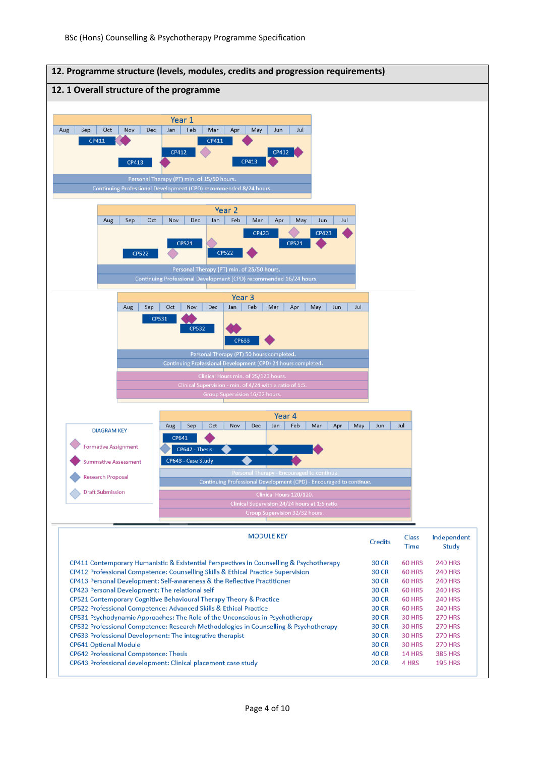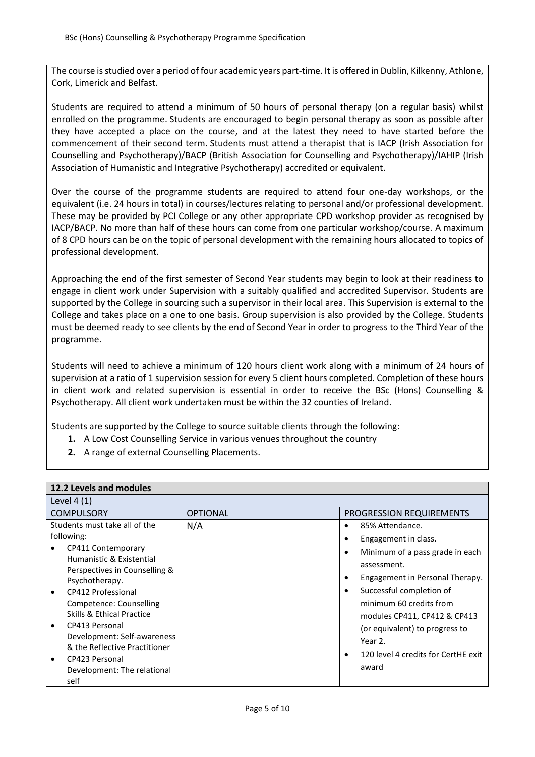The course is studied over a period of four academic years part-time. It is offered in Dublin, Kilkenny, Athlone, Cork, Limerick and Belfast.

Students are required to attend a minimum of 50 hours of personal therapy (on a regular basis) whilst enrolled on the programme. Students are encouraged to begin personal therapy as soon as possible after they have accepted a place on the course, and at the latest they need to have started before the commencement of their second term. Students must attend a therapist that is IACP (Irish Association for Counselling and Psychotherapy)/BACP (British Association for Counselling and Psychotherapy)/IAHIP (Irish Association of Humanistic and Integrative Psychotherapy) accredited or equivalent.

Over the course of the programme students are required to attend four one-day workshops, or the equivalent (i.e. 24 hours in total) in courses/lectures relating to personal and/or professional development. These may be provided by PCI College or any other appropriate CPD workshop provider as recognised by IACP/BACP. No more than half of these hours can come from one particular workshop/course. A maximum of 8 CPD hours can be on the topic of personal development with the remaining hours allocated to topics of professional development.

Approaching the end of the first semester of Second Year students may begin to look at their readiness to engage in client work under Supervision with a suitably qualified and accredited Supervisor. Students are supported by the College in sourcing such a supervisor in their local area. This Supervision is external to the College and takes place on a one to one basis. Group supervision is also provided by the College. Students must be deemed ready to see clients by the end of Second Year in order to progress to the Third Year of the programme.

Students will need to achieve a minimum of 120 hours client work along with a minimum of 24 hours of supervision at a ratio of 1 supervision session for every 5 client hours completed. Completion of these hours in client work and related supervision is essential in order to receive the BSc (Hons) Counselling & Psychotherapy. All client work undertaken must be within the 32 counties of Ireland.

Students are supported by the College to source suitable clients through the following:

- **1.** A Low Cost Counselling Service in various venues throughout the country
- **2.** A range of external Counselling Placements.

| 12.2 Levels and modules                                                                                                                                                                                                                                                                                                                                           |                 |                                                                                                                                                                                                                                                                                                                                                                                                |  |  |  |  |  |  |
|-------------------------------------------------------------------------------------------------------------------------------------------------------------------------------------------------------------------------------------------------------------------------------------------------------------------------------------------------------------------|-----------------|------------------------------------------------------------------------------------------------------------------------------------------------------------------------------------------------------------------------------------------------------------------------------------------------------------------------------------------------------------------------------------------------|--|--|--|--|--|--|
| Level $4(1)$                                                                                                                                                                                                                                                                                                                                                      |                 |                                                                                                                                                                                                                                                                                                                                                                                                |  |  |  |  |  |  |
| <b>COMPULSORY</b>                                                                                                                                                                                                                                                                                                                                                 | <b>OPTIONAL</b> | PROGRESSION REQUIREMENTS                                                                                                                                                                                                                                                                                                                                                                       |  |  |  |  |  |  |
| Students must take all of the<br>following:<br>CP411 Contemporary<br>Humanistic & Existential<br>Perspectives in Counselling &<br>Psychotherapy.<br>CP412 Professional<br>Competence: Counselling<br>Skills & Ethical Practice<br>CP413 Personal<br>Development: Self-awareness<br>& the Reflective Practitioner<br>CP423 Personal<br>Development: The relational | N/A             | 85% Attendance.<br>$\bullet$<br>Engagement in class.<br>$\bullet$<br>Minimum of a pass grade in each<br>$\bullet$<br>assessment.<br>Engagement in Personal Therapy.<br>$\bullet$<br>Successful completion of<br>$\bullet$<br>minimum 60 credits from<br>modules CP411, CP412 & CP413<br>(or equivalent) to progress to<br>Year 2.<br>120 level 4 credits for CertHE exit<br>$\bullet$<br>award |  |  |  |  |  |  |
| self                                                                                                                                                                                                                                                                                                                                                              |                 |                                                                                                                                                                                                                                                                                                                                                                                                |  |  |  |  |  |  |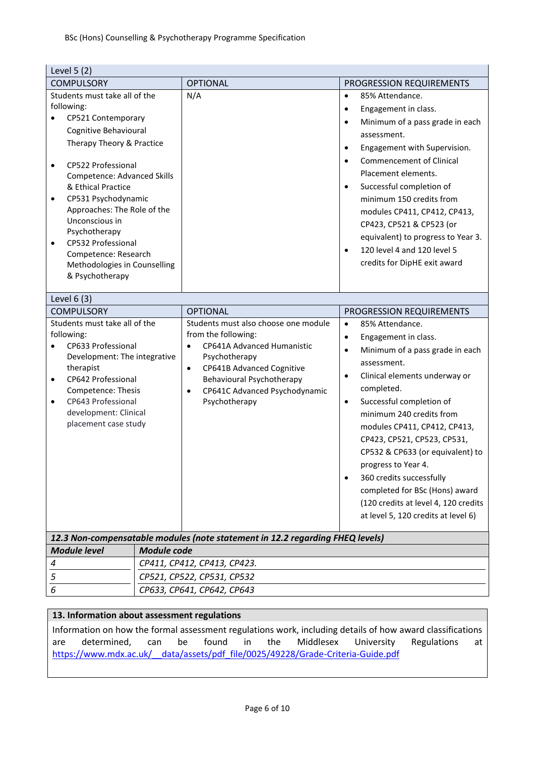| Level $5(2)$                                                                                                                                                                                                                                                                                                                                                                                                                               |                    |                                                                                                                                                                                                                                                               |                                                                                                                                                                                                                                                                                                                                                                                                                                                                                                                                                       |
|--------------------------------------------------------------------------------------------------------------------------------------------------------------------------------------------------------------------------------------------------------------------------------------------------------------------------------------------------------------------------------------------------------------------------------------------|--------------------|---------------------------------------------------------------------------------------------------------------------------------------------------------------------------------------------------------------------------------------------------------------|-------------------------------------------------------------------------------------------------------------------------------------------------------------------------------------------------------------------------------------------------------------------------------------------------------------------------------------------------------------------------------------------------------------------------------------------------------------------------------------------------------------------------------------------------------|
| <b>COMPULSORY</b>                                                                                                                                                                                                                                                                                                                                                                                                                          |                    | <b>OPTIONAL</b>                                                                                                                                                                                                                                               | PROGRESSION REQUIREMENTS                                                                                                                                                                                                                                                                                                                                                                                                                                                                                                                              |
| Students must take all of the<br>following:<br>CP521 Contemporary<br>Cognitive Behavioural<br>Therapy Theory & Practice<br>CP522 Professional<br>$\bullet$<br><b>Competence: Advanced Skills</b><br>& Ethical Practice<br>CP531 Psychodynamic<br>$\bullet$<br>Approaches: The Role of the<br>Unconscious in<br>Psychotherapy<br>CP532 Professional<br>$\bullet$<br>Competence: Research<br>Methodologies in Counselling<br>& Psychotherapy |                    | N/A                                                                                                                                                                                                                                                           | 85% Attendance.<br>$\bullet$<br>Engagement in class.<br>$\bullet$<br>Minimum of a pass grade in each<br>$\bullet$<br>assessment.<br>Engagement with Supervision.<br>$\bullet$<br><b>Commencement of Clinical</b><br>$\bullet$<br>Placement elements.<br>Successful completion of<br>$\bullet$<br>minimum 150 credits from<br>modules CP411, CP412, CP413,<br>CP423, CP521 & CP523 (or<br>equivalent) to progress to Year 3.<br>120 level 4 and 120 level 5<br>$\bullet$<br>credits for DipHE exit award                                               |
| Level 6 (3)                                                                                                                                                                                                                                                                                                                                                                                                                                |                    |                                                                                                                                                                                                                                                               |                                                                                                                                                                                                                                                                                                                                                                                                                                                                                                                                                       |
| <b>COMPULSORY</b>                                                                                                                                                                                                                                                                                                                                                                                                                          |                    | <b>OPTIONAL</b>                                                                                                                                                                                                                                               | PROGRESSION REQUIREMENTS                                                                                                                                                                                                                                                                                                                                                                                                                                                                                                                              |
| Students must take all of the<br>following:<br>CP633 Professional<br>Development: The integrative<br>therapist<br>CP642 Professional<br>$\bullet$<br>Competence: Thesis<br>CP643 Professional<br>$\bullet$<br>development: Clinical<br>placement case study                                                                                                                                                                                |                    | Students must also choose one module<br>from the following:<br>CP641A Advanced Humanistic<br>$\bullet$<br>Psychotherapy<br>CP641B Advanced Cognitive<br>$\bullet$<br>Behavioural Psychotherapy<br>CP641C Advanced Psychodynamic<br>$\bullet$<br>Psychotherapy | $\bullet$<br>85% Attendance.<br>Engagement in class.<br>$\bullet$<br>Minimum of a pass grade in each<br>$\bullet$<br>assessment.<br>Clinical elements underway or<br>$\bullet$<br>completed.<br>Successful completion of<br>$\bullet$<br>minimum 240 credits from<br>modules CP411, CP412, CP413,<br>CP423, CP521, CP523, CP531,<br>CP532 & CP633 (or equivalent) to<br>progress to Year 4.<br>360 credits successfully<br>$\bullet$<br>completed for BSc (Hons) award<br>(120 credits at level 4, 120 credits<br>at level 5, 120 credits at level 6) |
|                                                                                                                                                                                                                                                                                                                                                                                                                                            |                    | 12.3 Non-compensatable modules (note statement in 12.2 regarding FHEQ levels)                                                                                                                                                                                 |                                                                                                                                                                                                                                                                                                                                                                                                                                                                                                                                                       |
| <b>Module level</b>                                                                                                                                                                                                                                                                                                                                                                                                                        | <b>Module code</b> |                                                                                                                                                                                                                                                               |                                                                                                                                                                                                                                                                                                                                                                                                                                                                                                                                                       |
| 4                                                                                                                                                                                                                                                                                                                                                                                                                                          |                    | CP411, CP412, CP413, CP423.                                                                                                                                                                                                                                   |                                                                                                                                                                                                                                                                                                                                                                                                                                                                                                                                                       |
| 5                                                                                                                                                                                                                                                                                                                                                                                                                                          |                    | CP521, CP522, CP531, CP532                                                                                                                                                                                                                                    |                                                                                                                                                                                                                                                                                                                                                                                                                                                                                                                                                       |
| 6                                                                                                                                                                                                                                                                                                                                                                                                                                          |                    | CP633, CP641, CP642, CP643                                                                                                                                                                                                                                    |                                                                                                                                                                                                                                                                                                                                                                                                                                                                                                                                                       |

### **13. Information about assessment regulations**

Information on how the formal assessment regulations work, including details of how award classifications are determined, can be found in the Middlesex University Regulations at https://www.mdx.ac.uk/ data/assets/pdf file/0025/49228/Grade-Criteria-Guide.pdf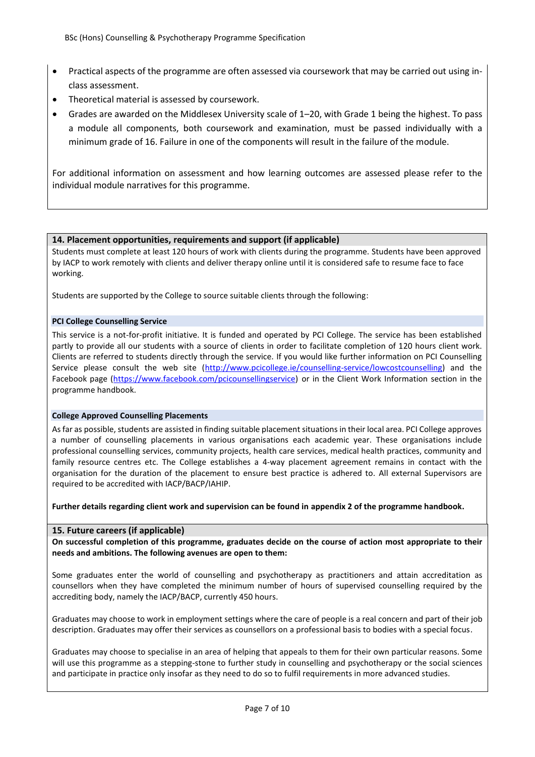- Practical aspects of the programme are often assessed via coursework that may be carried out using inclass assessment.
- Theoretical material is assessed by coursework.
- Grades are awarded on the Middlesex University scale of 1–20, with Grade 1 being the highest. To pass a module all components, both coursework and examination, must be passed individually with a minimum grade of 16. Failure in one of the components will result in the failure of the module.

For additional information on assessment and how learning outcomes are assessed please refer to the individual module narratives for this programme.

#### **14. Placement opportunities, requirements and support (if applicable)**

Students must complete at least 120 hours of work with clients during the programme. Students have been approved by IACP to work remotely with clients and deliver therapy online until it is considered safe to resume face to face working.

Students are supported by the College to source suitable clients through the following:

#### **PCI College Counselling Service**

This service is a not-for-profit initiative. It is funded and operated by PCI College. The service has been established partly to provide all our students with a source of clients in order to facilitate completion of 120 hours client work. Clients are referred to students directly through the service. If you would like further information on PCI Counselling Service please consult the web site [\(http://www.pcicollege.ie/counselling-service/lowcostcounselling\)](http://www.pcicollege.ie/counselling-service/lowcostcounselling) and the Facebook page [\(https://www.facebook.com/pcicounsellingservice\)](https://www.facebook.com/pcicounsellingservice) or in the Client Work Information section in the programme handbook.

#### **College Approved Counselling Placements**

As far as possible, students are assisted in finding suitable placement situations in their local area. PCI College approves a number of counselling placements in various organisations each academic year. These organisations include professional counselling services, community projects, health care services, medical health practices, community and family resource centres etc. The College establishes a 4-way placement agreement remains in contact with the organisation for the duration of the placement to ensure best practice is adhered to. All external Supervisors are required to be accredited with IACP/BACP/IAHIP.

**Further details regarding client work and supervision can be found in appendix 2 of the programme handbook.**

#### **15. Future careers (if applicable)**

**On successful completion of this programme, graduates decide on the course of action most appropriate to their needs and ambitions. The following avenues are open to them:**

Some graduates enter the world of counselling and psychotherapy as practitioners and attain accreditation as counsellors when they have completed the minimum number of hours of supervised counselling required by the accrediting body, namely the IACP/BACP, currently 450 hours.

Graduates may choose to work in employment settings where the care of people is a real concern and part of their job description. Graduates may offer their services as counsellors on a professional basis to bodies with a special focus.

Graduates may choose to specialise in an area of helping that appeals to them for their own particular reasons. Some will use this programme as a stepping-stone to further study in counselling and psychotherapy or the social sciences and participate in practice only insofar as they need to do so to fulfil requirements in more advanced studies.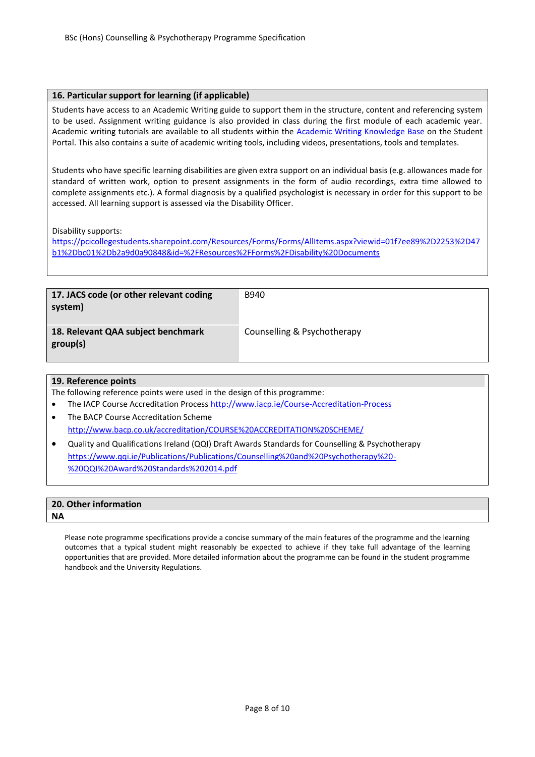#### **16. Particular support for learning (if applicable)**

Students have access to an Academic Writing guide to support them in the structure, content and referencing system to be used. Assignment writing guidance is also provided in class during the first module of each academic year. Academic writing tutorials are available to all students within the **Academic Writing Knowledge Base** on the Student Portal. This also contains a suite of academic writing tools, including videos, presentations, tools and templates.

Students who have specific learning disabilities are given extra support on an individual basis (e.g. allowances made for standard of written work, option to present assignments in the form of audio recordings, extra time allowed to complete assignments etc.). A formal diagnosis by a qualified psychologist is necessary in order for this support to be accessed. All learning support is assessed via the Disability Officer.

Disability supports:

[https://pcicollegestudents.sharepoint.com/Resources/Forms/Forms/AllItems.aspx?viewid=01f7ee89%2D2253%2D47](https://pcicollegestudents.sharepoint.com/Resources/Forms/Forms/AllItems.aspx?viewid=01f7ee89%2D2253%2D47b1%2Dbc01%2Db2a9d0a90848&id=%2FResources%2FForms%2FDisability%20Documents) [b1%2Dbc01%2Db2a9d0a90848&id=%2FResources%2FForms%2FDisability%20Documents](https://pcicollegestudents.sharepoint.com/Resources/Forms/Forms/AllItems.aspx?viewid=01f7ee89%2D2253%2D47b1%2Dbc01%2Db2a9d0a90848&id=%2FResources%2FForms%2FDisability%20Documents)

| 17. JACS code (or other relevant coding<br>system) | B940                        |
|----------------------------------------------------|-----------------------------|
| 18. Relevant QAA subject benchmark<br>group(s)     | Counselling & Psychotherapy |

#### **19. Reference points**

The following reference points were used in the design of this programme:

- The IACP Course Accreditation Proces[s http://www.iacp.ie/Course-Accreditation-Process](http://www.iacp.ie/Course-Accreditation-Process)
- The BACP Course Accreditation Scheme <http://www.bacp.co.uk/accreditation/COURSE%20ACCREDITATION%20SCHEME/>
- Quality and Qualifications Ireland (QQI) Draft Awards Standards for Counselling & Psychotherapy [https://www.qqi.ie/Publications/Publications/Counselling%20and%20Psychotherapy%20-](https://www.qqi.ie/Publications/Publications/Counselling%20and%20Psychotherapy%20-%20QQI%20Award%20Standards%202014.pdf) [%20QQI%20Award%20Standards%202014.pdf](https://www.qqi.ie/Publications/Publications/Counselling%20and%20Psychotherapy%20-%20QQI%20Award%20Standards%202014.pdf)

| 20. Other information |  |  |
|-----------------------|--|--|
| <b>NA</b>             |  |  |
|                       |  |  |

Please note programme specifications provide a concise summary of the main features of the programme and the learning outcomes that a typical student might reasonably be expected to achieve if they take full advantage of the learning opportunities that are provided. More detailed information about the programme can be found in the student programme handbook and the University Regulations.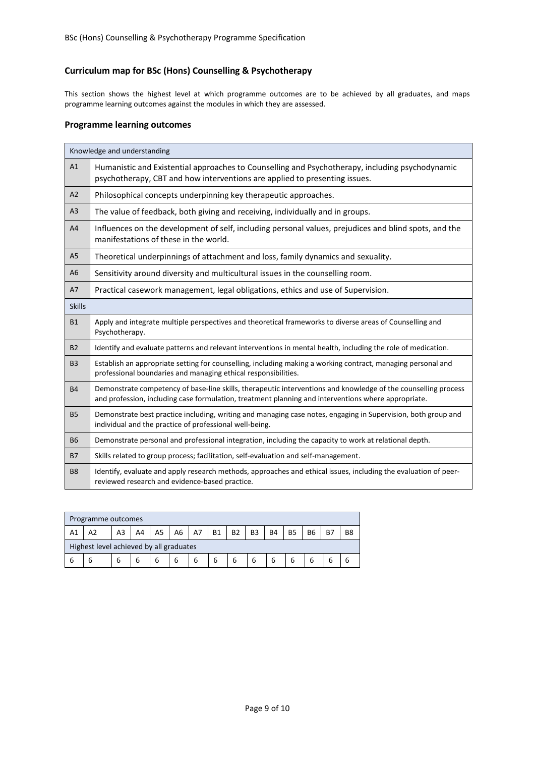## **Curriculum map for BSc (Hons) Counselling & Psychotherapy**

This section shows the highest level at which programme outcomes are to be achieved by all graduates, and maps programme learning outcomes against the modules in which they are assessed.

#### **Programme learning outcomes**

|                | Knowledge and understanding                                                                                                                                                                                           |
|----------------|-----------------------------------------------------------------------------------------------------------------------------------------------------------------------------------------------------------------------|
| A1             | Humanistic and Existential approaches to Counselling and Psychotherapy, including psychodynamic<br>psychotherapy, CBT and how interventions are applied to presenting issues.                                         |
| A2             | Philosophical concepts underpinning key therapeutic approaches.                                                                                                                                                       |
| A3             | The value of feedback, both giving and receiving, individually and in groups.                                                                                                                                         |
| A4             | Influences on the development of self, including personal values, prejudices and blind spots, and the<br>manifestations of these in the world.                                                                        |
| A <sub>5</sub> | Theoretical underpinnings of attachment and loss, family dynamics and sexuality.                                                                                                                                      |
| A <sub>6</sub> | Sensitivity around diversity and multicultural issues in the counselling room.                                                                                                                                        |
| A7             | Practical casework management, legal obligations, ethics and use of Supervision.                                                                                                                                      |
| <b>Skills</b>  |                                                                                                                                                                                                                       |
| <b>B1</b>      | Apply and integrate multiple perspectives and theoretical frameworks to diverse areas of Counselling and<br>Psychotherapy.                                                                                            |
| <b>B2</b>      | Identify and evaluate patterns and relevant interventions in mental health, including the role of medication.                                                                                                         |
| <b>B3</b>      | Establish an appropriate setting for counselling, including making a working contract, managing personal and<br>professional boundaries and managing ethical responsibilities.                                        |
| <b>B4</b>      | Demonstrate competency of base-line skills, therapeutic interventions and knowledge of the counselling process<br>and profession, including case formulation, treatment planning and interventions where appropriate. |
| <b>B5</b>      | Demonstrate best practice including, writing and managing case notes, engaging in Supervision, both group and<br>individual and the practice of professional well-being.                                              |
| <b>B6</b>      | Demonstrate personal and professional integration, including the capacity to work at relational depth.                                                                                                                |
| <b>B7</b>      | Skills related to group process; facilitation, self-evaluation and self-management.                                                                                                                                   |
| B <sub>8</sub> | Identify, evaluate and apply research methods, approaches and ethical issues, including the evaluation of peer-<br>reviewed research and evidence-based practice.                                                     |

|    | Programme outcomes                      |    |    |    |                |    |           |           |                |           |           |                |           |                |
|----|-----------------------------------------|----|----|----|----------------|----|-----------|-----------|----------------|-----------|-----------|----------------|-----------|----------------|
| A1 | A2                                      | A3 | A4 | A5 | A <sub>6</sub> | A7 | <b>B1</b> | <b>B2</b> | B <sub>3</sub> | <b>B4</b> | <b>B5</b> | B <sub>6</sub> | <b>B7</b> | B <sub>8</sub> |
|    | Highest level achieved by all graduates |    |    |    |                |    |           |           |                |           |           |                |           |                |
|    | b                                       | 6  |    |    | 6              |    | 6         | 6         | 6              |           | 6         | ь              |           |                |